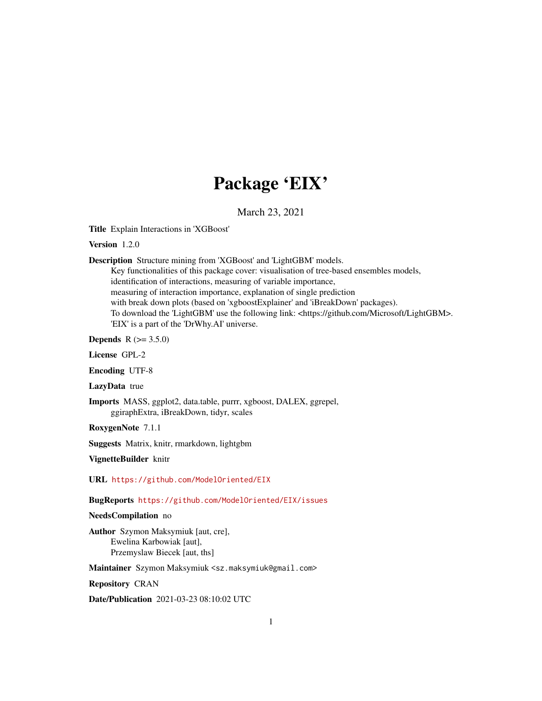## Package 'EIX'

March 23, 2021

Title Explain Interactions in 'XGBoost'

Version 1.2.0

Description Structure mining from 'XGBoost' and 'LightGBM' models.

Key functionalities of this package cover: visualisation of tree-based ensembles models, identification of interactions, measuring of variable importance, measuring of interaction importance, explanation of single prediction with break down plots (based on 'xgboostExplainer' and 'iBreakDown' packages). To download the 'LightGBM' use the following link: <https://github.com/Microsoft/LightGBM>. 'EIX' is a part of the 'DrWhy.AI' universe.

**Depends** R  $(>= 3.5.0)$ 

License GPL-2

Encoding UTF-8

LazyData true

Imports MASS, ggplot2, data.table, purrr, xgboost, DALEX, ggrepel, ggiraphExtra, iBreakDown, tidyr, scales

RoxygenNote 7.1.1

Suggests Matrix, knitr, rmarkdown, lightgbm

VignetteBuilder knitr

URL <https://github.com/ModelOriented/EIX>

BugReports <https://github.com/ModelOriented/EIX/issues>

#### NeedsCompilation no

Author Szymon Maksymiuk [aut, cre], Ewelina Karbowiak [aut], Przemyslaw Biecek [aut, ths]

Maintainer Szymon Maksymiuk <sz.maksymiuk@gmail.com>

Repository CRAN

Date/Publication 2021-03-23 08:10:02 UTC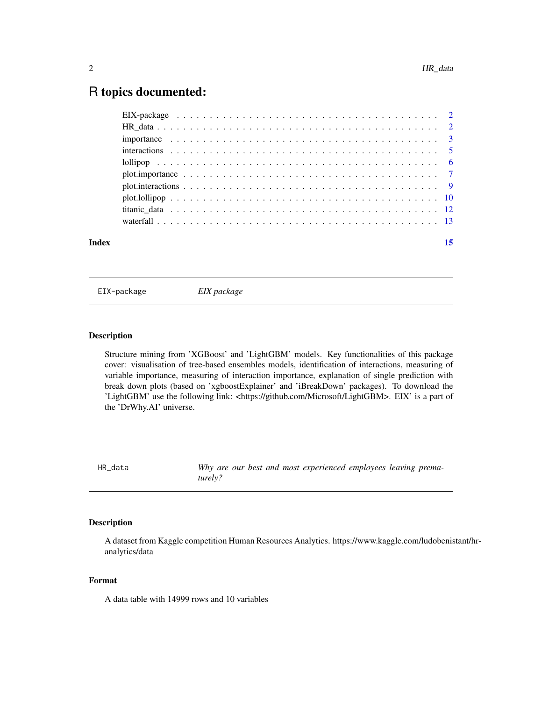### <span id="page-1-0"></span>R topics documented:

| Index | 15 |
|-------|----|
|       |    |
|       |    |
|       |    |
|       |    |
|       |    |
|       |    |
|       |    |
|       |    |
|       |    |
|       |    |

EIX-package *EIX package*

#### Description

Structure mining from 'XGBoost' and 'LightGBM' models. Key functionalities of this package cover: visualisation of tree-based ensembles models, identification of interactions, measuring of variable importance, measuring of interaction importance, explanation of single prediction with break down plots (based on 'xgboostExplainer' and 'iBreakDown' packages). To download the 'LightGBM' use the following link: <https://github.com/Microsoft/LightGBM>. EIX' is a part of the 'DrWhy.AI' universe.

HR\_data *Why are our best and most experienced employees leaving prematurely?*

#### Description

A dataset from Kaggle competition Human Resources Analytics. https://www.kaggle.com/ludobenistant/hranalytics/data

#### Format

A data table with 14999 rows and 10 variables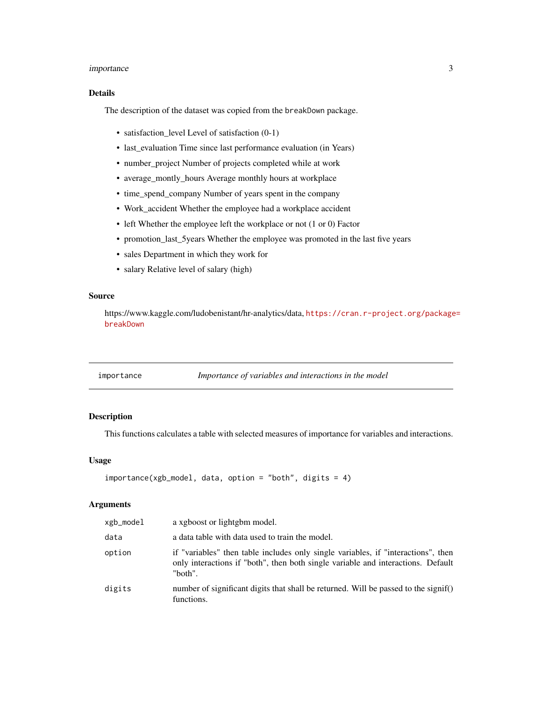#### <span id="page-2-0"></span>importance 3

#### Details

The description of the dataset was copied from the breakDown package.

- satisfaction level Level of satisfaction (0-1)
- last\_evaluation Time since last performance evaluation (in Years)
- number\_project Number of projects completed while at work
- average\_montly\_hours Average monthly hours at workplace
- time\_spend\_company Number of years spent in the company
- Work\_accident Whether the employee had a workplace accident
- left Whether the employee left the workplace or not (1 or 0) Factor
- promotion\_last\_5years Whether the employee was promoted in the last five years
- sales Department in which they work for
- salary Relative level of salary (high)

#### Source

https://www.kaggle.com/ludobenistant/hr-analytics/data, [https://cran.r-project.org/package](https://cran.r-project.org/package=breakDown)= [breakDown](https://cran.r-project.org/package=breakDown)

| importance | Importance of variables and interactions in the model |
|------------|-------------------------------------------------------|
|            |                                                       |

#### Description

This functions calculates a table with selected measures of importance for variables and interactions.

#### Usage

```
importance(xgb_model, data, option = "both", digits = 4)
```
#### Arguments

| xgb_model | a xgboost or lightgbm model.                                                                                                                                                     |
|-----------|----------------------------------------------------------------------------------------------------------------------------------------------------------------------------------|
| data      | a data table with data used to train the model.                                                                                                                                  |
| option    | if "variables" then table includes only single variables, if "interactions", then<br>only interactions if "both", then both single variable and interactions. Default<br>"both". |
| digits    | number of significant digits that shall be returned. Will be passed to the signif()<br>functions.                                                                                |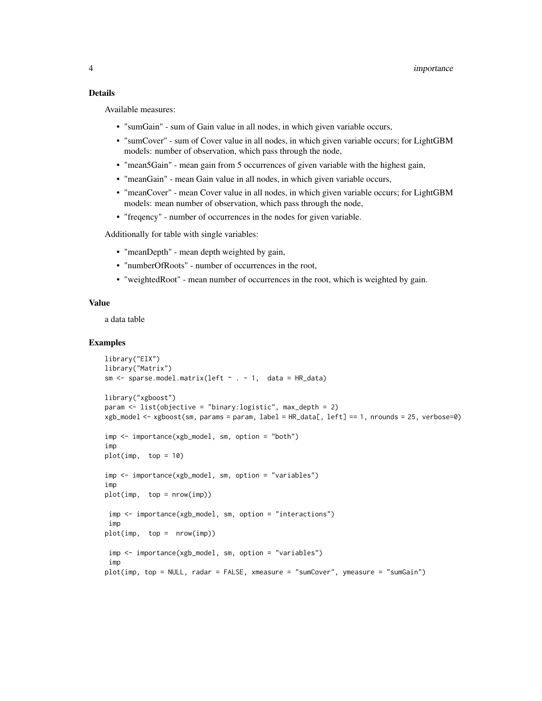#### Details

Available measures:

- "sumGain" sum of Gain value in all nodes, in which given variable occurs,
- "sumCover" sum of Cover value in all nodes, in which given variable occurs; for LightGBM models: number of observation, which pass through the node,
- "mean5Gain" mean gain from 5 occurrences of given variable with the highest gain,
- "meanGain" mean Gain value in all nodes, in which given variable occurs,
- "meanCover" mean Cover value in all nodes, in which given variable occurs; for LightGBM models: mean number of observation, which pass through the node,
- "freqency" number of occurrences in the nodes for given variable.

Additionally for table with single variables:

- "meanDepth" mean depth weighted by gain,
- "numberOfRoots" number of occurrences in the root,
- "weightedRoot" mean number of occurrences in the root, which is weighted by gain.

#### Value

a data table

```
library("EIX")
library("Matrix")
sm \leq sparse.model.matrix(left \sim . - 1, data = HR_data)
library("xgboost")
param <- list(objective = "binary:logistic", max_depth = 2)
xgb_model <- xgboost(sm, params = param, label = HR_data[, left] == 1, nrounds = 25, verbose=0)
imp <- importance(xgb_model, sm, option = "both")
imp
plot(imp, top = 10)imp <- importance(xgb_model, sm, option = "variables")
imp
plot(imp, top = nrow(imp))
imp <- importance(xgb_model, sm, option = "interactions")
 imp
plot(imp, top = nrow(imp)imp <- importance(xgb_model, sm, option = "variables")
 imp
plot(imp, top = NULL, radar = FALSE, xmeasure = "sumCover", ymeasure = "sumGain")
```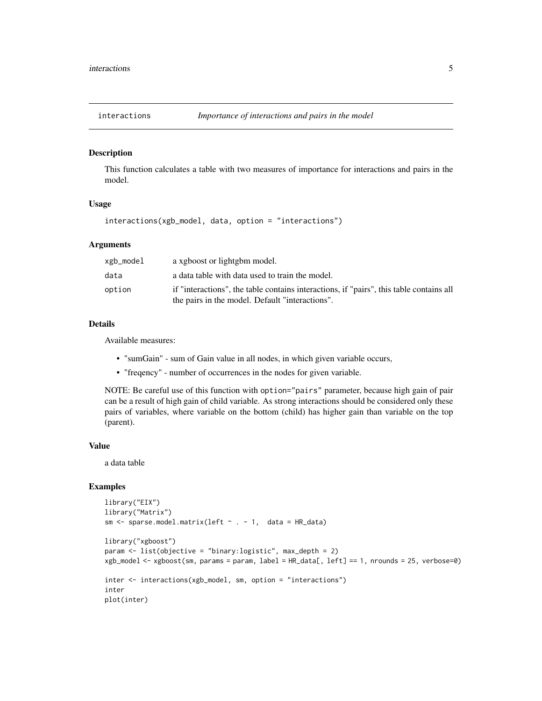<span id="page-4-0"></span>

#### Description

This function calculates a table with two measures of importance for interactions and pairs in the model.

#### Usage

interactions(xgb\_model, data, option = "interactions")

#### **Arguments**

| xgb_model | a xgboost or lightgbm model.                                                                                                               |
|-----------|--------------------------------------------------------------------------------------------------------------------------------------------|
| data      | a data table with data used to train the model.                                                                                            |
| option    | if "interactions", the table contains interactions, if "pairs", this table contains all<br>the pairs in the model. Default "interactions". |

#### Details

Available measures:

- "sumGain" sum of Gain value in all nodes, in which given variable occurs,
- "freqency" number of occurrences in the nodes for given variable.

NOTE: Be careful use of this function with option="pairs" parameter, because high gain of pair can be a result of high gain of child variable. As strong interactions should be considered only these pairs of variables, where variable on the bottom (child) has higher gain than variable on the top (parent).

#### Value

a data table

```
library("EIX")
library("Matrix")
sm \leq sparse.model.matrix(left \sim . - 1, data = HR_data)
library("xgboost")
param <- list(objective = "binary:logistic", max_depth = 2)
xgb_model <- xgboost(sm, params = param, label = HR_data[, left] == 1, nrounds = 25, verbose=0)
inter <- interactions(xgb_model, sm, option = "interactions")
inter
plot(inter)
```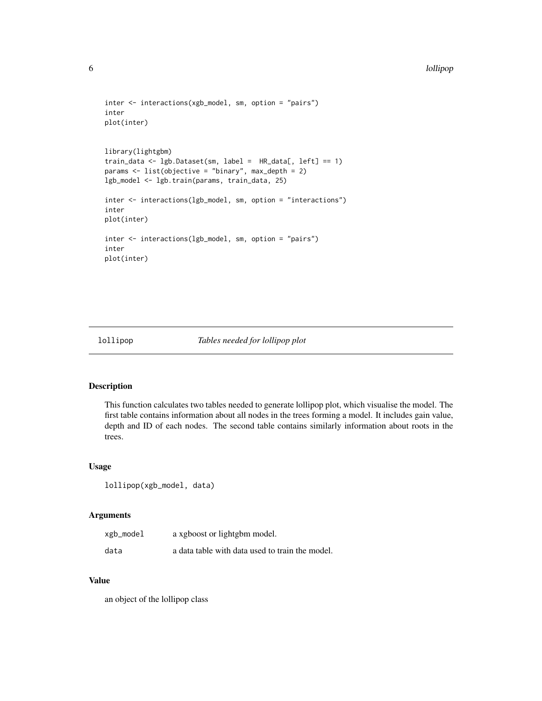```
inter <- interactions(xgb_model, sm, option = "pairs")
inter
plot(inter)
library(lightgbm)
train_data <- lgb.Dataset(sm, label = HR_data[, left] == 1)
params \leq list(objective = "binary", max_depth = 2)
lgb_model <- lgb.train(params, train_data, 25)
inter <- interactions(lgb_model, sm, option = "interactions")
inter
plot(inter)
inter <- interactions(lgb_model, sm, option = "pairs")
inter
plot(inter)
```
#### lollipop *Tables needed for lollipop plot*

#### Description

This function calculates two tables needed to generate lollipop plot, which visualise the model. The first table contains information about all nodes in the trees forming a model. It includes gain value, depth and ID of each nodes. The second table contains similarly information about roots in the trees.

#### Usage

```
lollipop(xgb_model, data)
```
#### Arguments

| xgb_model | a xgboost or lightgbm model.                    |
|-----------|-------------------------------------------------|
| data      | a data table with data used to train the model. |

#### Value

an object of the lollipop class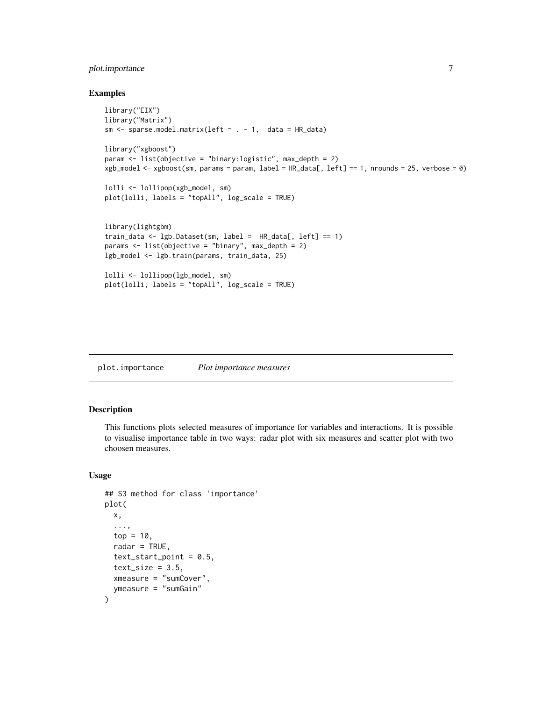#### <span id="page-6-0"></span>plot.importance 7

#### Examples

```
library("EIX")
library("Matrix")
sm \leq sparse.model.matrix(left \sim . - 1, data = HR_data)
library("xgboost")
param <- list(objective = "binary:logistic", max_depth = 2)
xgb_model <- xgboost(sm, params = param, label = HR_data[, left] == 1, nrounds = 25, verbose = 0)
lolli <- lollipop(xgb_model, sm)
plot(lolli, labels = "topAll", log_scale = TRUE)
library(lightgbm)
train_data <- lgb.Dataset(sm, label = HR_data[, left] == 1)
params <- list(objective = "binary", max_depth = 2)
lgb_model <- lgb.train(params, train_data, 25)
lolli <- lollipop(lgb_model, sm)
plot(lolli, labels = "topAll", log_scale = TRUE)
```
plot.importance *Plot importance measures*

#### Description

This functions plots selected measures of importance for variables and interactions. It is possible to visualise importance table in two ways: radar plot with six measures and scatter plot with two choosen measures.

#### Usage

```
## S3 method for class 'importance'
plot(
  x,
  ...,
  top = 10,
  radar = TRUE,
  text\_start\_point = 0.5,
  text_size = 3.5,xmeasure = "sumCover",
  ymeasure = "sumGain"
)
```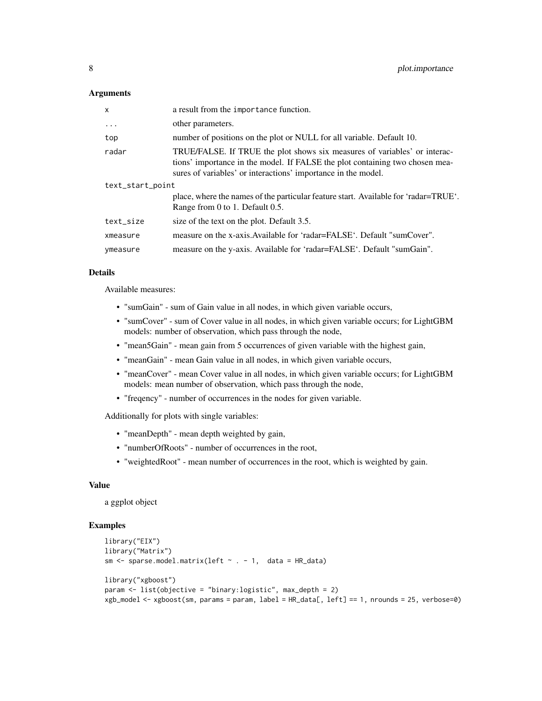#### Arguments

| X                | a result from the importance function.                                                                                                                                                                                     |
|------------------|----------------------------------------------------------------------------------------------------------------------------------------------------------------------------------------------------------------------------|
| $\ddots$ .       | other parameters.                                                                                                                                                                                                          |
| top              | number of positions on the plot or NULL for all variable. Default 10.                                                                                                                                                      |
| radar            | TRUE/FALSE. If TRUE the plot shows six measures of variables' or interac-<br>tions' importance in the model. If FALSE the plot containing two chosen mea-<br>sures of variables' or interactions' importance in the model. |
| text_start_point |                                                                                                                                                                                                                            |
|                  | place, where the names of the particular feature start. Available for 'radar=TRUE'.<br>Range from 0 to 1. Default 0.5.                                                                                                     |
| text_size        | size of the text on the plot. Default 3.5.                                                                                                                                                                                 |
| xmeasure         | measure on the x-axis. Available for 'radar=FALSE'. Default "sumCover".                                                                                                                                                    |
| ymeasure         | measure on the y-axis. Available for 'radar=FALSE'. Default "sumGain".                                                                                                                                                     |

#### Details

Available measures:

- "sumGain" sum of Gain value in all nodes, in which given variable occurs,
- "sumCover" sum of Cover value in all nodes, in which given variable occurs; for LightGBM models: number of observation, which pass through the node,
- "mean5Gain" mean gain from 5 occurrences of given variable with the highest gain,
- "meanGain" mean Gain value in all nodes, in which given variable occurs,
- "meanCover" mean Cover value in all nodes, in which given variable occurs; for LightGBM models: mean number of observation, which pass through the node,
- "freqency" number of occurrences in the nodes for given variable.

Additionally for plots with single variables:

- "meanDepth" mean depth weighted by gain,
- "numberOfRoots" number of occurrences in the root,
- "weightedRoot" mean number of occurrences in the root, which is weighted by gain.

#### Value

a ggplot object

```
library("EIX")
library("Matrix")
sm \leq sparse.model.matrix(left \sim . - 1, data = HR_data)
library("xgboost")
param <- list(objective = "binary:logistic", max_depth = 2)
xgb_model <- xgboost(sm, params = param, label = HR_data[, left] == 1, nrounds = 25, verbose=0)
```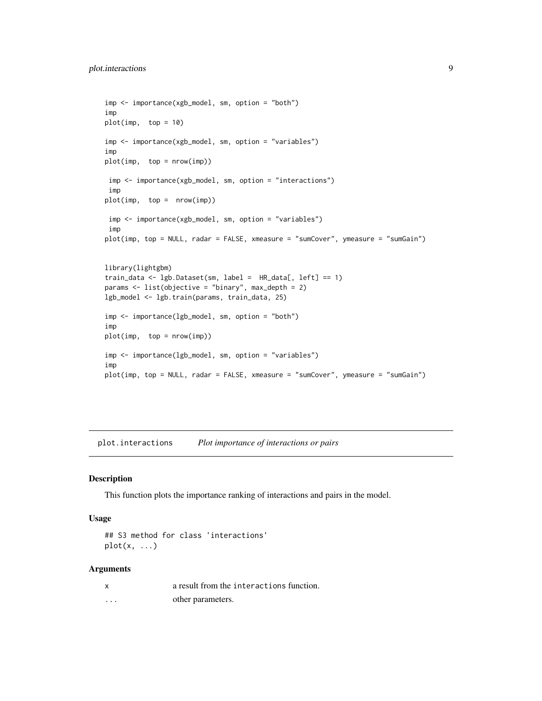```
imp <- importance(xgb_model, sm, option = "both")
imp
plot(imp, top = 10)imp <- importance(xgb_model, sm, option = "variables")
imp
plot(imp, top = nrow(imp))
imp <- importance(xgb_model, sm, option = "interactions")
 imp
plot(imp, top = nrow(imp))
 imp <- importance(xgb_model, sm, option = "variables")
 imp
plot(imp, top = NULL, radar = FALSE, xmeasure = "sumCover", ymeasure = "sumGain")
library(lightgbm)
train_data <- lgb.Dataset(sm, label = HR_data[, left] == 1)
params <- list(objective = "binary", max_depth = 2)
lgb_model <- lgb.train(params, train_data, 25)
imp <- importance(lgb_model, sm, option = "both")
imp
plot(imp, top = nrow(imp))
imp <- importance(lgb_model, sm, option = "variables")
imp
plot(imp, top = NULL, radar = FALSE, xmeasure = "sumCover", ymeasure = "sumGain")
```
plot.interactions *Plot importance of interactions or pairs*

#### Description

This function plots the importance ranking of interactions and pairs in the model.

#### Usage

```
## S3 method for class 'interactions'
plot(x, \ldots)
```
#### Arguments

| X | a result from the interactions function. |
|---|------------------------------------------|
| . | other parameters.                        |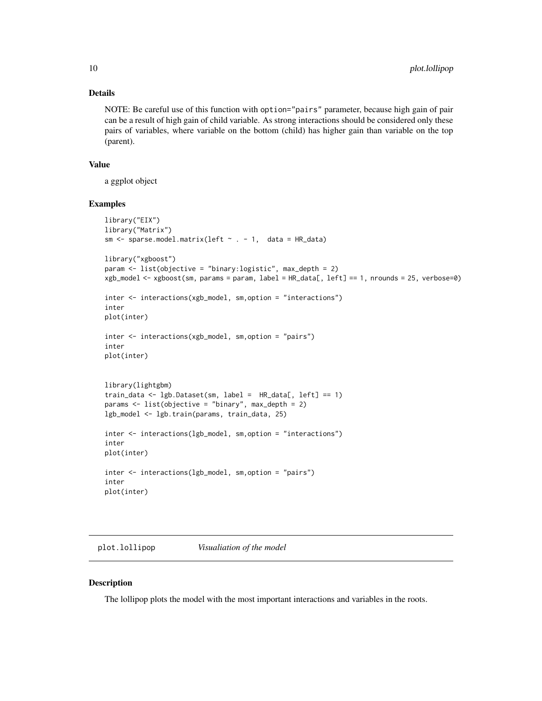#### Details

NOTE: Be careful use of this function with option="pairs" parameter, because high gain of pair can be a result of high gain of child variable. As strong interactions should be considered only these pairs of variables, where variable on the bottom (child) has higher gain than variable on the top (parent).

#### Value

a ggplot object

#### Examples

```
library("EIX")
library("Matrix")
sm \leq sparse.model.matrix(left \sim . - 1, data = HR_data)
library("xgboost")
param <- list(objective = "binary:logistic", max_depth = 2)
xgb_model <- xgboost(sm, params = param, label = HR_data[, left] == 1, nrounds = 25, verbose=0)
inter <- interactions(xgb_model, sm,option = "interactions")
inter
plot(inter)
inter <- interactions(xgb_model, sm,option = "pairs")
inter
plot(inter)
library(lightgbm)
train_data <- lgb.Dataset(sm, label = HR_data[, left] == 1)
params <- list(objective = "binary", max_depth = 2)
lgb_model <- lgb.train(params, train_data, 25)
inter <- interactions(lgb_model, sm,option = "interactions")
inter
plot(inter)
inter <- interactions(lgb_model, sm,option = "pairs")
inter
plot(inter)
```
plot.lollipop *Visualiation of the model*

#### Description

The lollipop plots the model with the most important interactions and variables in the roots.

<span id="page-9-0"></span>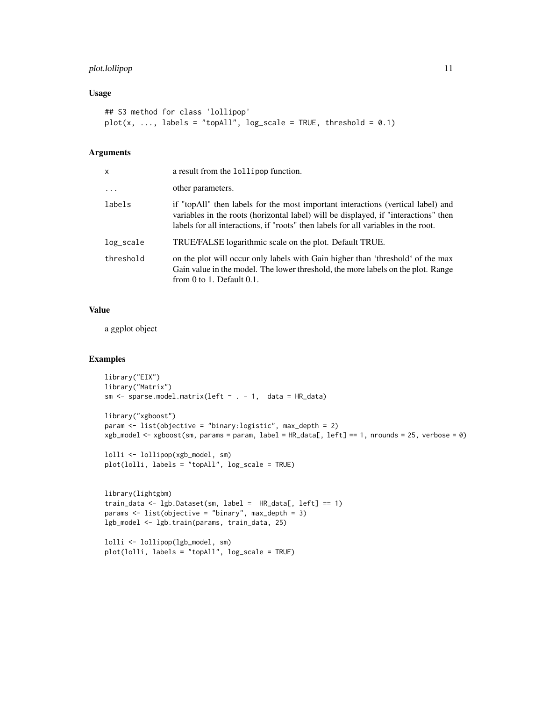#### plot.lollipop 11

#### Usage

```
## S3 method for class 'lollipop'
plot(x, ..., labels = "topAll", log-scale = TRUE, threshold = 0.1)
```
#### Arguments

| x         | a result from the lollipop function.                                                                                                                                                                                                                          |
|-----------|---------------------------------------------------------------------------------------------------------------------------------------------------------------------------------------------------------------------------------------------------------------|
| $\cdots$  | other parameters.                                                                                                                                                                                                                                             |
| labels    | if "topAll" then labels for the most important interactions (vertical label) and<br>variables in the roots (horizontal label) will be displayed, if "interactions" then<br>labels for all interactions, if "roots" then labels for all variables in the root. |
| log_scale | TRUE/FALSE logarithmic scale on the plot. Default TRUE.                                                                                                                                                                                                       |
| threshold | on the plot will occur only labels with Gain higher than 'threshold' of the max<br>Gain value in the model. The lower threshold, the more labels on the plot. Range<br>from $0$ to $1$ . Default $0.1$ .                                                      |

#### Value

a ggplot object

```
library("EIX")
library("Matrix")
sm \leq sparse.model.matrix(left \sim . - 1, data = HR_data)
library("xgboost")
param <- list(objective = "binary:logistic", max_depth = 2)
xgb_model <- xgboost(sm, params = param, label = HR_data[, left] == 1, nrounds = 25, verbose = 0)
lolli <- lollipop(xgb_model, sm)
plot(lolli, labels = "topAll", log_scale = TRUE)
library(lightgbm)
```

```
train_data <- lgb.Dataset(sm, label = HR_data[, left] == 1)
params <- list(objective = "binary", max_depth = 3)
lgb_model <- lgb.train(params, train_data, 25)
```

```
lolli <- lollipop(lgb_model, sm)
plot(lolli, labels = "topAll", log_scale = TRUE)
```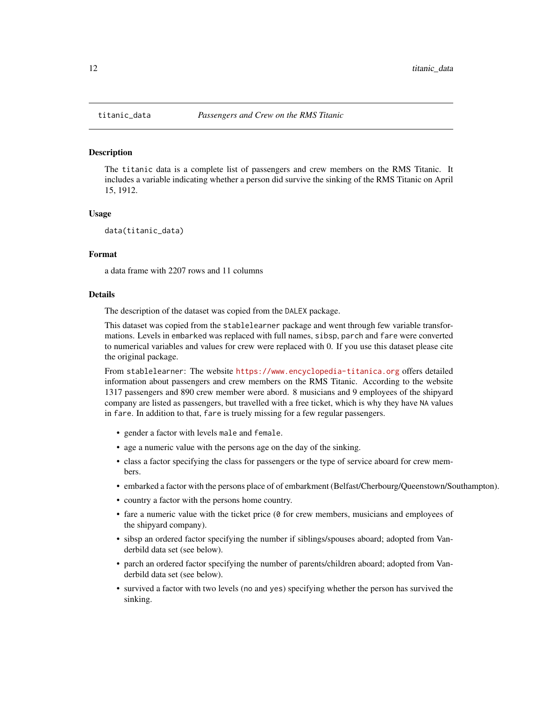#### Description

The titanic data is a complete list of passengers and crew members on the RMS Titanic. It includes a variable indicating whether a person did survive the sinking of the RMS Titanic on April 15, 1912.

#### Usage

```
data(titanic_data)
```
#### Format

a data frame with 2207 rows and 11 columns

#### Details

The description of the dataset was copied from the DALEX package.

This dataset was copied from the stablelearner package and went through few variable transformations. Levels in embarked was replaced with full names, sibsp, parch and fare were converted to numerical variables and values for crew were replaced with 0. If you use this dataset please cite the original package.

From stablelearner: The website <https://www.encyclopedia-titanica.org> offers detailed information about passengers and crew members on the RMS Titanic. According to the website 1317 passengers and 890 crew member were abord. 8 musicians and 9 employees of the shipyard company are listed as passengers, but travelled with a free ticket, which is why they have NA values in fare. In addition to that, fare is truely missing for a few regular passengers.

- gender a factor with levels male and female.
- age a numeric value with the persons age on the day of the sinking.
- class a factor specifying the class for passengers or the type of service aboard for crew members.
- embarked a factor with the persons place of of embarkment (Belfast/Cherbourg/Queenstown/Southampton).
- country a factor with the persons home country.
- fare a numeric value with the ticket price ( $\theta$  for crew members, musicians and employees of the shipyard company).
- sibsp an ordered factor specifying the number if siblings/spouses aboard; adopted from Vanderbild data set (see below).
- parch an ordered factor specifying the number of parents/children aboard; adopted from Vanderbild data set (see below).
- survived a factor with two levels (no and yes) specifying whether the person has survived the sinking.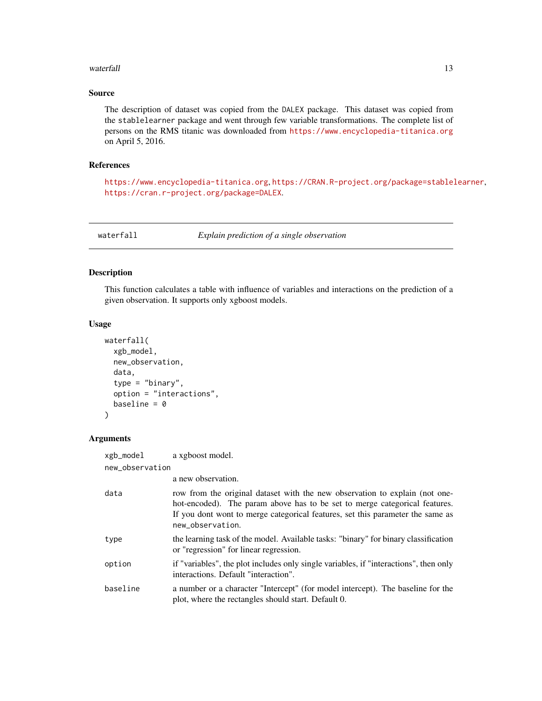#### <span id="page-12-0"></span>waterfall and the contract of the contract of the contract of the contract of the contract of the contract of the contract of the contract of the contract of the contract of the contract of the contract of the contract of

#### Source

The description of dataset was copied from the DALEX package. This dataset was copied from the stablelearner package and went through few variable transformations. The complete list of persons on the RMS titanic was downloaded from <https://www.encyclopedia-titanica.org> on April 5, 2016.

#### References

<https://www.encyclopedia-titanica.org>, <https://CRAN.R-project.org/package=stablelearner>, <https://cran.r-project.org/package=DALEX>.

waterfall *Explain prediction of a single observation*

#### Description

This function calculates a table with influence of variables and interactions on the prediction of a given observation. It supports only xgboost models.

#### Usage

```
waterfall(
  xgb_model,
  new_observation,
  data,
  type = "binary",
  option = "interactions",
  baseline = \theta)
```
#### Arguments

| xgb_model       | a xgboost model.                                                                                                                                                                                                                                                |
|-----------------|-----------------------------------------------------------------------------------------------------------------------------------------------------------------------------------------------------------------------------------------------------------------|
| new_observation |                                                                                                                                                                                                                                                                 |
|                 | a new observation.                                                                                                                                                                                                                                              |
| data            | row from the original dataset with the new observation to explain (not one-<br>hot-encoded). The param above has to be set to merge categorical features.<br>If you dont wont to merge categorical features, set this parameter the same as<br>new_observation. |
| type            | the learning task of the model. Available tasks: "binary" for binary classification<br>or "regression" for linear regression.                                                                                                                                   |
| option          | if "variables", the plot includes only single variables, if "interactions", then only<br>interactions. Default "interaction".                                                                                                                                   |
| baseline        | a number or a character "Intercept" (for model intercept). The baseline for the<br>plot, where the rectangles should start. Default 0.                                                                                                                          |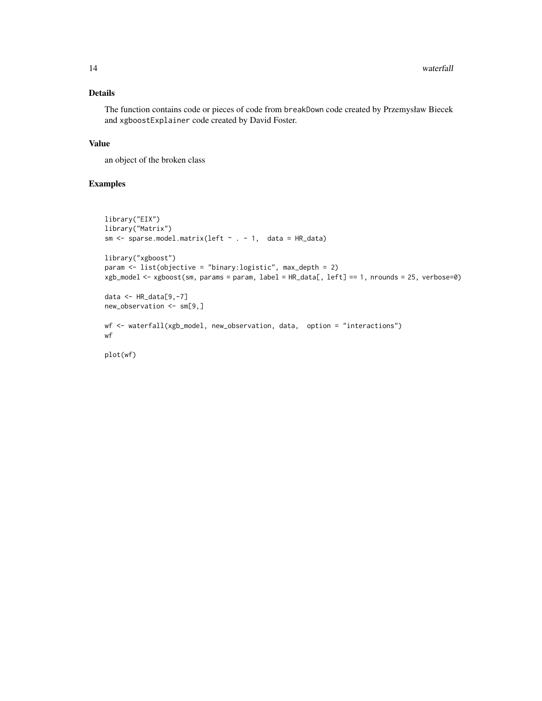#### Details

The function contains code or pieces of code from breakDown code created by Przemysław Biecek and xgboostExplainer code created by David Foster.

#### Value

an object of the broken class

#### Examples

```
library("EIX")
library("Matrix")
sm \le sparse.model.matrix(left \sim . - 1, data = HR_data)
library("xgboost")
param <- list(objective = "binary:logistic", max_depth = 2)
xgb_model <- xgboost(sm, params = param, label = HR_data[, left] == 1, nrounds = 25, verbose=0)
data <- HR_data[9,-7]
new_observation <- sm[9,]
wf <- waterfall(xgb_model, new_observation, data, option = "interactions")
wf
```
plot(wf)